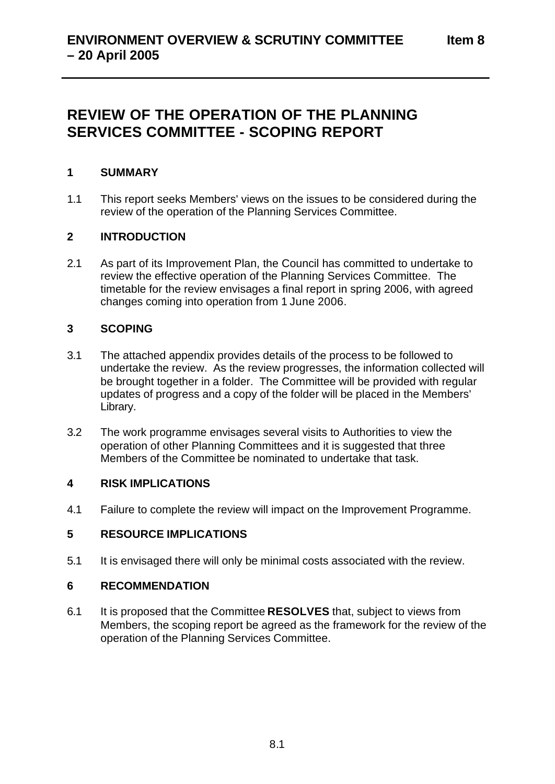# **REVIEW OF THE OPERATION OF THE PLANNING SERVICES COMMITTEE - SCOPING REPORT**

### **1 SUMMARY**

1.1 This report seeks Members' views on the issues to be considered during the review of the operation of the Planning Services Committee.

### **2 INTRODUCTION**

2.1 As part of its Improvement Plan, the Council has committed to undertake to review the effective operation of the Planning Services Committee. The timetable for the review envisages a final report in spring 2006, with agreed changes coming into operation from 1 June 2006.

### **3 SCOPING**

- 3.1 The attached appendix provides details of the process to be followed to undertake the review. As the review progresses, the information collected will be brought together in a folder. The Committee will be provided with regular updates of progress and a copy of the folder will be placed in the Members' Library.
- 3.2 The work programme envisages several visits to Authorities to view the operation of other Planning Committees and it is suggested that three Members of the Committee be nominated to undertake that task.

### **4 RISK IMPLICATIONS**

4.1 Failure to complete the review will impact on the Improvement Programme.

### **5 RESOURCE IMPLICATIONS**

5.1 It is envisaged there will only be minimal costs associated with the review.

### **6 RECOMMENDATION**

6.1 It is proposed that the Committee **RESOLVES** that, subject to views from Members, the scoping report be agreed as the framework for the review of the operation of the Planning Services Committee.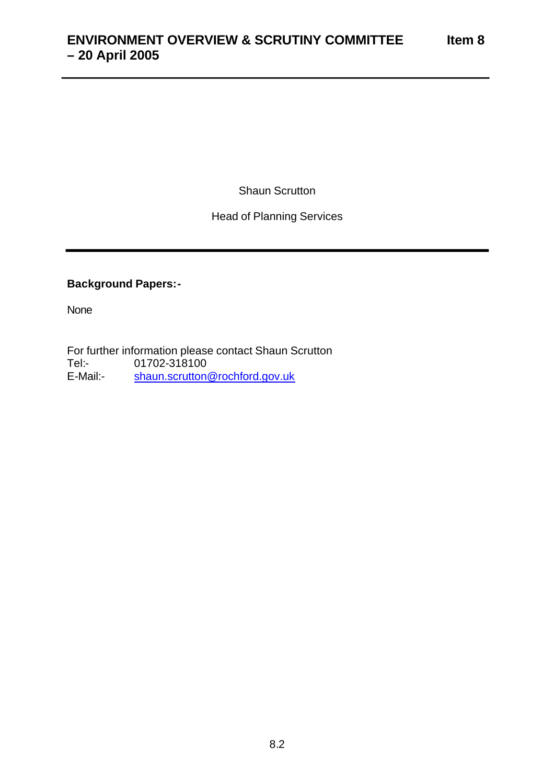Shaun Scrutton

### Head of Planning Services

### **Background Papers:-**

None

For further information please contact Shaun Scrutton<br>Tel:- 01702-318100 01702-318100 E-Mail: shaun.scrutton@rochford.gov.uk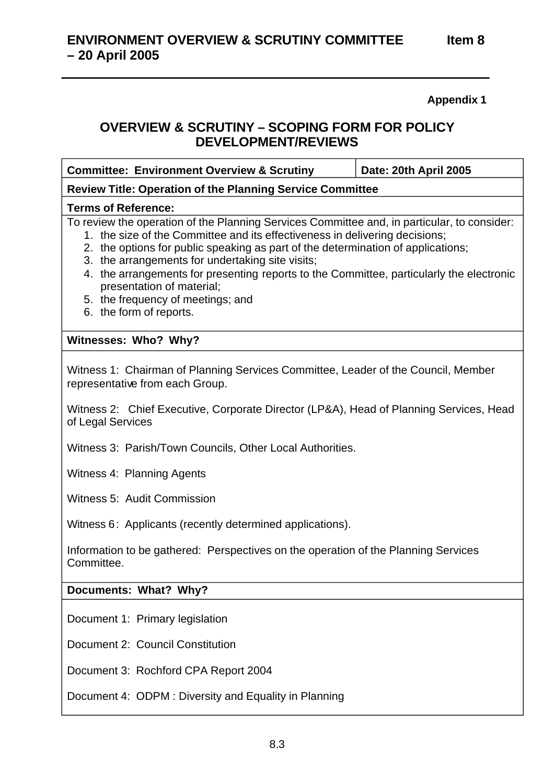**Appendix 1** 

## **OVERVIEW & SCRUTINY – SCOPING FORM FOR POLICY DEVELOPMENT/REVIEWS**

| <b>Committee: Environment Overview &amp; Scrutiny</b>                                                                                                                                                                                                                                                                                                                                                                                                                                                       | Date: 20th April 2005 |
|-------------------------------------------------------------------------------------------------------------------------------------------------------------------------------------------------------------------------------------------------------------------------------------------------------------------------------------------------------------------------------------------------------------------------------------------------------------------------------------------------------------|-----------------------|
| <b>Review Title: Operation of the Planning Service Committee</b>                                                                                                                                                                                                                                                                                                                                                                                                                                            |                       |
| <b>Terms of Reference:</b>                                                                                                                                                                                                                                                                                                                                                                                                                                                                                  |                       |
| To review the operation of the Planning Services Committee and, in particular, to consider:<br>1. the size of the Committee and its effectiveness in delivering decisions;<br>2. the options for public speaking as part of the determination of applications;<br>3. the arrangements for undertaking site visits;<br>4. the arrangements for presenting reports to the Committee, particularly the electronic<br>presentation of material;<br>5. the frequency of meetings; and<br>6. the form of reports. |                       |
| Witnesses: Who? Why?                                                                                                                                                                                                                                                                                                                                                                                                                                                                                        |                       |
| Witness 1: Chairman of Planning Services Committee, Leader of the Council, Member<br>representative from each Group.                                                                                                                                                                                                                                                                                                                                                                                        |                       |
| Witness 2: Chief Executive, Corporate Director (LP&A), Head of Planning Services, Head<br>of Legal Services                                                                                                                                                                                                                                                                                                                                                                                                 |                       |
| Witness 3: Parish/Town Councils, Other Local Authorities.                                                                                                                                                                                                                                                                                                                                                                                                                                                   |                       |
| Witness 4: Planning Agents                                                                                                                                                                                                                                                                                                                                                                                                                                                                                  |                       |
| Witness 5: Audit Commission                                                                                                                                                                                                                                                                                                                                                                                                                                                                                 |                       |
| Witness 6: Applicants (recently determined applications).                                                                                                                                                                                                                                                                                                                                                                                                                                                   |                       |
| Information to be gathered: Perspectives on the operation of the Planning Services<br>Committee.                                                                                                                                                                                                                                                                                                                                                                                                            |                       |
| Documents: What? Why?                                                                                                                                                                                                                                                                                                                                                                                                                                                                                       |                       |
| Document 1: Primary legislation                                                                                                                                                                                                                                                                                                                                                                                                                                                                             |                       |
| Document 2: Council Constitution                                                                                                                                                                                                                                                                                                                                                                                                                                                                            |                       |
| Document 3: Rochford CPA Report 2004                                                                                                                                                                                                                                                                                                                                                                                                                                                                        |                       |
| Document 4: ODPM: Diversity and Equality in Planning                                                                                                                                                                                                                                                                                                                                                                                                                                                        |                       |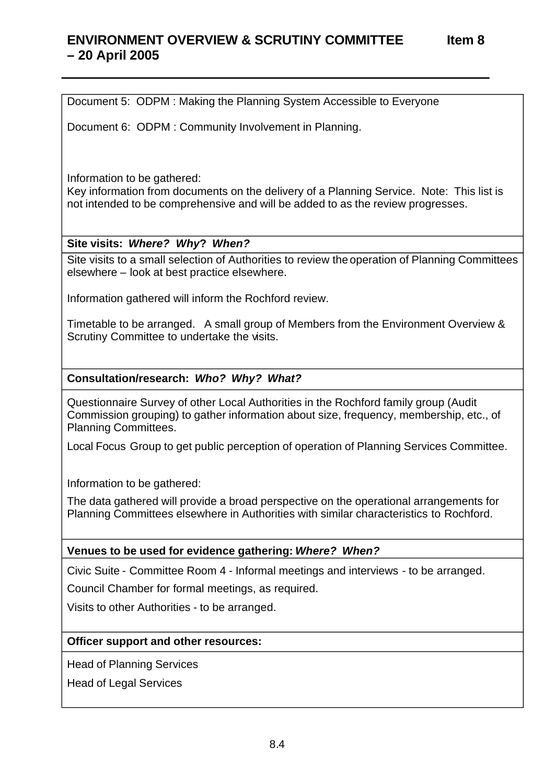# **ENVIRONMENT OVERVIEW & SCRUTINY COMMITTEE Item 8 – 20 April 2005**

Document 5: ODPM : Making the Planning System Accessible to Everyone

Document 6: ODPM : Community Involvement in Planning.

Information to be gathered:

Key information from documents on the delivery of a Planning Service. Note: This list is not intended to be comprehensive and will be added to as the review progresses.

### **Site visits:** *Where? Why***?** *When?*

Site visits to a small selection of Authorities to review the operation of Planning Committees elsewhere – look at best practice elsewhere.

Information gathered will inform the Rochford review.

Timetable to be arranged. A small group of Members from the Environment Overview & Scrutiny Committee to undertake the visits.

### **Consultation/research:** *Who? Why? What?*

Questionnaire Survey of other Local Authorities in the Rochford family group (Audit Commission grouping) to gather information about size, frequency, membership, etc., of Planning Committees.

Local Focus Group to get public perception of operation of Planning Services Committee.

Information to be gathered:

The data gathered will provide a broad perspective on the operational arrangements for Planning Committees elsewhere in Authorities with similar characteristics to Rochford.

### **Venues to be used for evidence gathering:** *Where? When?*

Civic Suite - Committee Room 4 - Informal meetings and interviews - to be arranged.

Council Chamber for formal meetings, as required.

Visits to other Authorities - to be arranged.

### **Officer support and other resources:**

Head of Planning Services

Head of Legal Services